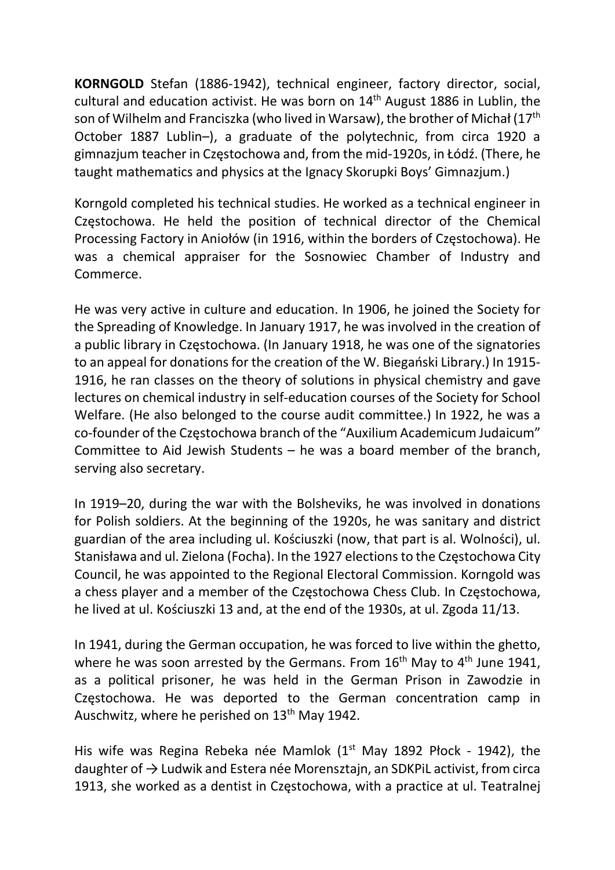KORNGOLD Stefan (1886-1942), technical engineer, factory director, social, cultural and education activist. He was born on 14<sup>th</sup> August 1886 in Lublin, the son of Wilhelm and Franciszka (who lived in Warsaw), the brother of Michał (17<sup>th</sup> October 1887 Lublin–), a graduate of the polytechnic, from circa 1920 a gimnazjum teacher in Częstochowa and, from the mid-1920s, in Łódź. (There, he taught mathematics and physics at the Ignacy Skorupki Boys' Gimnazjum.)

Korngold completed his technical studies. He worked as a technical engineer in Czestochowa. He held the position of technical director of the Chemical Processing Factory in Aniołów (in 1916, within the borders of Częstochowa). He was a chemical appraiser for the Sosnowiec Chamber of Industry and Commerce.

He was very active in culture and education. In 1906, he joined the Society for the Spreading of Knowledge. In January 1917, he was involved in the creation of a public library in Częstochowa. (In January 1918, he was one of the signatories to an appeal for donations for the creation of the W. Biegański Library.) In 1915- 1916, he ran classes on the theory of solutions in physical chemistry and gave lectures on chemical industry in self-education courses of the Society for School Welfare. (He also belonged to the course audit committee.) In 1922, he was a co-founder of the Częstochowa branch of the "Auxilium Academicum Judaicum" Committee to Aid Jewish Students – he was a board member of the branch, serving also secretary.

In 1919–20, during the war with the Bolsheviks, he was involved in donations for Polish soldiers. At the beginning of the 1920s, he was sanitary and district guardian of the area including ul. Kościuszki (now, that part is al. Wolności), ul. Stanisława and ul. Zielona (Focha). In the 1927 elections to the Częstochowa City Council, he was appointed to the Regional Electoral Commission. Korngold was a chess player and a member of the Częstochowa Chess Club. In Częstochowa, he lived at ul. Kościuszki 13 and, at the end of the 1930s, at ul. Zgoda 11/13.

In 1941, during the German occupation, he was forced to live within the ghetto, where he was soon arrested by the Germans. From  $16<sup>th</sup>$  May to  $4<sup>th</sup>$  June 1941, as a political prisoner, he was held in the German Prison in Zawodzie in Częstochowa. He was deported to the German concentration camp in Auschwitz, where he perished on 13<sup>th</sup> May 1942.

His wife was Regina Rebeka née Mamlok  $(1<sup>st</sup>$  May 1892 Płock - 1942), the daughter of  $\rightarrow$  Ludwik and Estera née Morensztajn, an SDKPiL activist, from circa 1913, she worked as a dentist in Częstochowa, with a practice at ul. Teatralnej